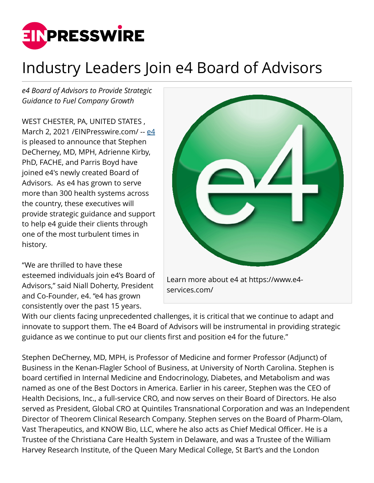

## Industry Leaders Join e4 Board of Advisors

*e4 Board of Advisors to Provide Strategic Guidance to Fuel Company Growth*

WEST CHESTER, PA, UNITED STATES , March 2, 2021 [/EINPresswire.com](http://www.einpresswire.com)/ -- [e4](https://www.e4-services.com/) is pleased to announce that Stephen DeCherney, MD, MPH, Adrienne Kirby, PhD, FACHE, and Parris Boyd have joined e4's newly created Board of Advisors. As e4 has grown to serve more than 300 health systems across the country, these executives will provide strategic guidance and support to help e4 guide their clients through one of the most turbulent times in history.

"We are thrilled to have these esteemed individuals join e4's Board of Advisors," said Niall Doherty, President and Co-Founder, e4. "e4 has grown consistently over the past 15 years.



With our clients facing unprecedented challenges, it is critical that we continue to adapt and innovate to support them. The e4 Board of Advisors will be instrumental in providing strategic guidance as we continue to put our clients first and position e4 for the future."

Stephen DeCherney, MD, MPH, is Professor of Medicine and former Professor (Adjunct) of Business in the Kenan-Flagler School of Business, at University of North Carolina. Stephen is board certified in Internal Medicine and Endocrinology, Diabetes, and Metabolism and was named as one of the Best Doctors in America. Earlier in his career, Stephen was the CEO of Health Decisions, Inc., a full-service CRO, and now serves on their Board of Directors. He also served as President, Global CRO at Quintiles Transnational Corporation and was an Independent Director of Theorem Clinical Research Company. Stephen serves on the Board of Pharm-Olam, Vast Therapeutics, and KNOW Bio, LLC, where he also acts as Chief Medical Officer. He is a Trustee of the Christiana Care Health System in Delaware, and was a Trustee of the William Harvey Research Institute, of the Queen Mary Medical College, St Bart's and the London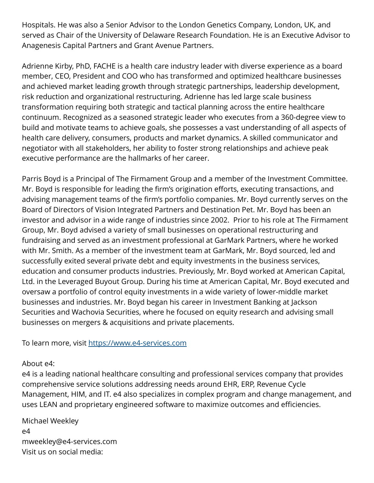Hospitals. He was also a Senior Advisor to the London Genetics Company, London, UK, and served as Chair of the University of Delaware Research Foundation. He is an Executive Advisor to Anagenesis Capital Partners and Grant Avenue Partners.

Adrienne Kirby, PhD, FACHE is a health care industry leader with diverse experience as a board member, CEO, President and COO who has transformed and optimized healthcare businesses and achieved market leading growth through strategic partnerships, leadership development, risk reduction and organizational restructuring. Adrienne has led large scale business transformation requiring both strategic and tactical planning across the entire healthcare continuum. Recognized as a seasoned strategic leader who executes from a 360-degree view to build and motivate teams to achieve goals, she possesses a vast understanding of all aspects of health care delivery, consumers, products and market dynamics. A skilled communicator and negotiator with all stakeholders, her ability to foster strong relationships and achieve peak executive performance are the hallmarks of her career.

Parris Boyd is a Principal of The Firmament Group and a member of the Investment Committee. Mr. Boyd is responsible for leading the firm's origination efforts, executing transactions, and advising management teams of the firm's portfolio companies. Mr. Boyd currently serves on the Board of Directors of Vision Integrated Partners and Destination Pet. Mr. Boyd has been an investor and advisor in a wide range of industries since 2002. Prior to his role at The Firmament Group, Mr. Boyd advised a variety of small businesses on operational restructuring and fundraising and served as an investment professional at GarMark Partners, where he worked with Mr. Smith. As a member of the investment team at GarMark, Mr. Boyd sourced, led and successfully exited several private debt and equity investments in the business services, education and consumer products industries. Previously, Mr. Boyd worked at American Capital, Ltd. in the Leveraged Buyout Group. During his time at American Capital, Mr. Boyd executed and oversaw a portfolio of control equity investments in a wide variety of lower-middle market businesses and industries. Mr. Boyd began his career in Investment Banking at Jackson Securities and Wachovia Securities, where he focused on equity research and advising small businesses on mergers & acquisitions and private placements.

To learn more, visit <https://www.e4-services.com>

About e4:

e4 is a leading national healthcare consulting and professional services company that provides comprehensive service solutions addressing needs around EHR, ERP, Revenue Cycle Management, HIM, and IT. e4 also specializes in complex program and change management, and uses LEAN and proprietary engineered software to maximize outcomes and efficiencies.

Michael Weekley e4 mweekley@e4-services.com Visit us on social media: